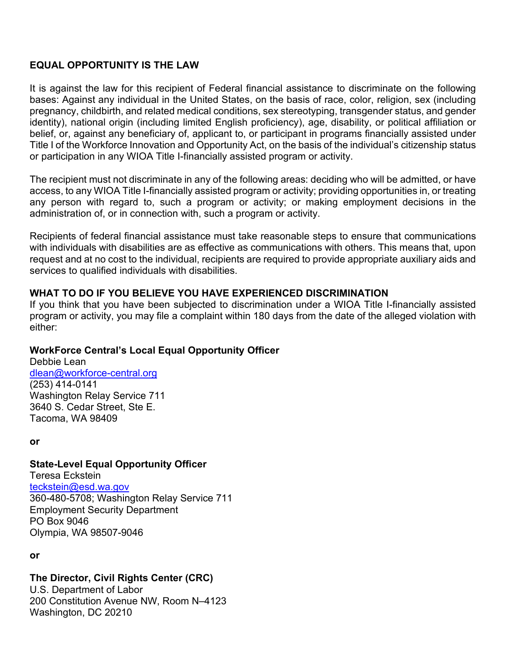### **EQUAL OPPORTUNITY IS THE LAW**

It is against the law for this recipient of Federal financial assistance to discriminate on the following bases: Against any individual in the United States, on the basis of race, color, religion, sex (including pregnancy, childbirth, and related medical conditions, sex stereotyping, transgender status, and gender identity), national origin (including limited English proficiency), age, disability, or political affiliation or belief, or, against any beneficiary of, applicant to, or participant in programs financially assisted under Title I of the Workforce Innovation and Opportunity Act, on the basis of the individual's citizenship status or participation in any WIOA Title I-financially assisted program or activity.

The recipient must not discriminate in any of the following areas: deciding who will be admitted, or have access, to any WIOA Title I-financially assisted program or activity; providing opportunities in, or treating any person with regard to, such a program or activity; or making employment decisions in the administration of, or in connection with, such a program or activity.

Recipients of federal financial assistance must take reasonable steps to ensure that communications with individuals with disabilities are as effective as communications with others. This means that, upon request and at no cost to the individual, recipients are required to provide appropriate auxiliary aids and services to qualified individuals with disabilities.

### **WHAT TO DO IF YOU BELIEVE YOU HAVE EXPERIENCED DISCRIMINATION**

If you think that you have been subjected to discrimination under a WIOA Title I-financially assisted program or activity, you may file a complaint within 180 days from the date of the alleged violation with either:

# **WorkForce Central's Local Equal Opportunity Officer**

Debbie Lean [dlean@workforce-central.org](mailto:dlean@workforce-central.org) (253) 414-0141 Washington Relay Service 711 3640 S. Cedar Street, Ste E. Tacoma, WA 98409

**or**

#### **State-Level Equal Opportunity Officer**

Teresa Eckstein [teckstein@esd.wa.gov](mailto:teckstein@esd.wa.gov) 360-480-5708; Washington Relay Service 711 Employment Security Department PO Box 9046 Olympia, WA 98507-9046

**or**

# **The Director, Civil Rights Center (CRC)**

U.S. Department of Labor 200 Constitution Avenue NW, Room N–4123 Washington, DC 20210